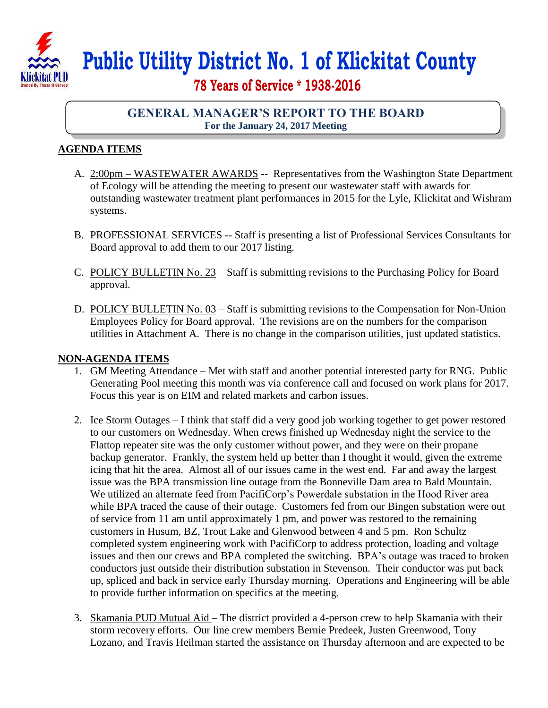

## **Public Utility District No. 1 of Klickitat County**

 **78 Years of Service \* 1938-2016**

## **GENERAL MANAGER'S REPORT TO THE BOARD For the January 24, 2017 Meeting**

## **AGENDA ITEMS**

- A. 2:00pm WASTEWATER AWARDS -- Representatives from the Washington State Department of Ecology will be attending the meeting to present our wastewater staff with awards for outstanding wastewater treatment plant performances in 2015 for the Lyle, Klickitat and Wishram systems.
- B. PROFESSIONAL SERVICES -- Staff is presenting a list of Professional Services Consultants for Board approval to add them to our 2017 listing.
- C. POLICY BULLETIN No. 23 Staff is submitting revisions to the Purchasing Policy for Board approval.
- D. POLICY BULLETIN No. 03 Staff is submitting revisions to the Compensation for Non-Union Employees Policy for Board approval. The revisions are on the numbers for the comparison utilities in Attachment A. There is no change in the comparison utilities, just updated statistics.

## **NON-AGENDA ITEMS**

- 1. GM Meeting Attendance Met with staff and another potential interested party for RNG. Public Generating Pool meeting this month was via conference call and focused on work plans for 2017. Focus this year is on EIM and related markets and carbon issues.
- 2. Ice Storm Outages I think that staff did a very good job working together to get power restored to our customers on Wednesday. When crews finished up Wednesday night the service to the Flattop repeater site was the only customer without power, and they were on their propane backup generator. Frankly, the system held up better than I thought it would, given the extreme icing that hit the area. Almost all of our issues came in the west end. Far and away the largest issue was the BPA transmission line outage from the Bonneville Dam area to Bald Mountain. We utilized an alternate feed from PacifiCorp's Powerdale substation in the Hood River area while BPA traced the cause of their outage. Customers fed from our Bingen substation were out of service from 11 am until approximately 1 pm, and power was restored to the remaining customers in Husum, BZ, Trout Lake and Glenwood between 4 and 5 pm. Ron Schultz completed system engineering work with PacifiCorp to address protection, loading and voltage issues and then our crews and BPA completed the switching. BPA's outage was traced to broken conductors just outside their distribution substation in Stevenson. Their conductor was put back up, spliced and back in service early Thursday morning. Operations and Engineering will be able to provide further information on specifics at the meeting.
- 3. Skamania PUD Mutual Aid The district provided a 4-person crew to help Skamania with their storm recovery efforts. Our line crew members Bernie Predeek, Justen Greenwood, Tony Lozano, and Travis Heilman started the assistance on Thursday afternoon and are expected to be